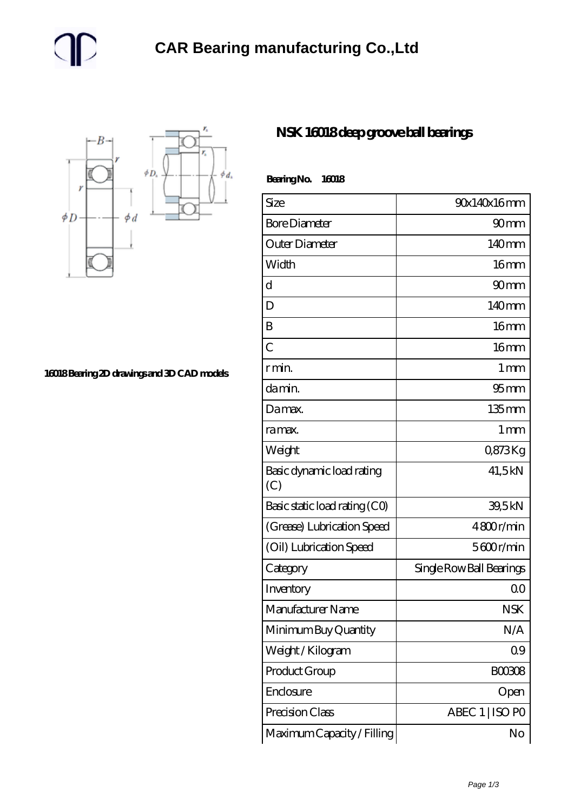

**[16018 Bearing 2D drawings and 3D CAD models](https://m.gmgyb.com/pic-48011.html)**

## **[NSK 16018 deep groove ball bearings](https://m.gmgyb.com/am-48011-nsk-16018-deep-groove-ball-bearings.html)**

| Bearing No.<br>16018             |                          |
|----------------------------------|--------------------------|
| Size                             | 90x140x16mm              |
| <b>Bore Diameter</b>             | 90 <sub>mm</sub>         |
| Outer Diameter                   | 140mm                    |
| Width                            | 16 <sub>mm</sub>         |
| d                                | 90 <sub>mm</sub>         |
| D                                | 140 <sub>mm</sub>        |
| B                                | 16mm                     |
| $\overline{C}$                   | 16mm                     |
| r min.                           | $1 \,\mathrm{mm}$        |
| da min.                          | $95 \text{mm}$           |
| Damax.                           | 135mm                    |
| ra max.                          | 1 <sub>mm</sub>          |
| Weight                           | 0873Kg                   |
| Basic dynamic load rating<br>(C) | 41,5kN                   |
| Basic static load rating (CO)    | 39,5kN                   |
| (Grease) Lubrication Speed       | 4800r/min                |
| (Oil) Lubrication Speed          | 5600r/min                |
| Category                         | Single Row Ball Bearings |
| Inventory                        | 0 <sup>0</sup>           |
| Manufacturer Name                | <b>NSK</b>               |
| Minimum Buy Quantity             | N/A                      |
| Weight / Kilogram                | 09                       |
| Product Group                    | BOO3O8                   |
| Enclosure                        | Open                     |
| Precision Class                  | ABEC 1   ISO PO          |
| Maximum Capacity / Filling       | No                       |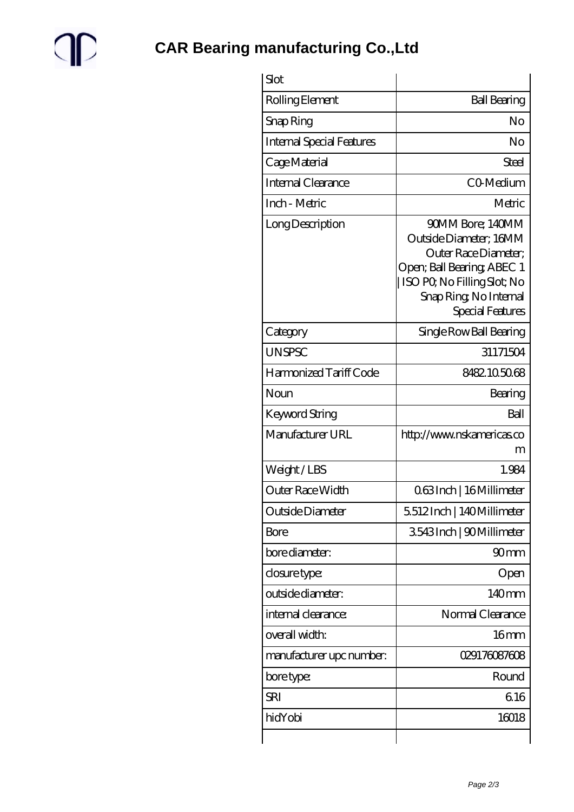

| Slot                             |                                                                                                                                                                               |
|----------------------------------|-------------------------------------------------------------------------------------------------------------------------------------------------------------------------------|
| Rolling Element                  | <b>Ball Bearing</b>                                                                                                                                                           |
| Snap Ring                        | No                                                                                                                                                                            |
| <b>Internal Special Features</b> | No                                                                                                                                                                            |
| Cage Material                    | Steel                                                                                                                                                                         |
| Internal Clearance               | CO-Medium                                                                                                                                                                     |
| Inch - Metric                    | Metric                                                                                                                                                                        |
| Long Description                 | 90MM Bore; 140MM<br>Outside Diameter; 16MM<br>Outer Race Diameter;<br>Open; Ball Bearing; ABEC 1<br>ISO PO, No Filling Slot; No<br>Snap Ring, No Internal<br>Special Features |
| Category                         | Single Row Ball Bearing                                                                                                                                                       |
| <b>UNSPSC</b>                    | 31171504                                                                                                                                                                      |
| Harmonized Tariff Code           | 8482105068                                                                                                                                                                    |
| Noun                             | Bearing                                                                                                                                                                       |
| Keyword String                   | Ball                                                                                                                                                                          |
| Manufacturer URL                 | http://www.nskamericas.co<br>m                                                                                                                                                |
| Weight/LBS                       | 1.984                                                                                                                                                                         |
| Outer Race Width                 | 063Inch   16Millimeter                                                                                                                                                        |
| Outside Diameter                 | 5512Inch   140Millimeter                                                                                                                                                      |
| Bore                             | 3543Inch   90Millimeter                                                                                                                                                       |
| bore diameter:                   | 90 <sub>mm</sub>                                                                                                                                                              |
| closure type:                    | Open                                                                                                                                                                          |
| outside diameter:                | 140mm                                                                                                                                                                         |
| internal clearance:              | Normal Clearance                                                                                                                                                              |
| overall width:                   | 16 <sub>mm</sub>                                                                                                                                                              |
| manufacturer upc number:         | 029176087608                                                                                                                                                                  |
| bore type:                       | Round                                                                                                                                                                         |
| <b>SRI</b>                       | 616                                                                                                                                                                           |
| hidYobi                          | 16018                                                                                                                                                                         |
|                                  |                                                                                                                                                                               |